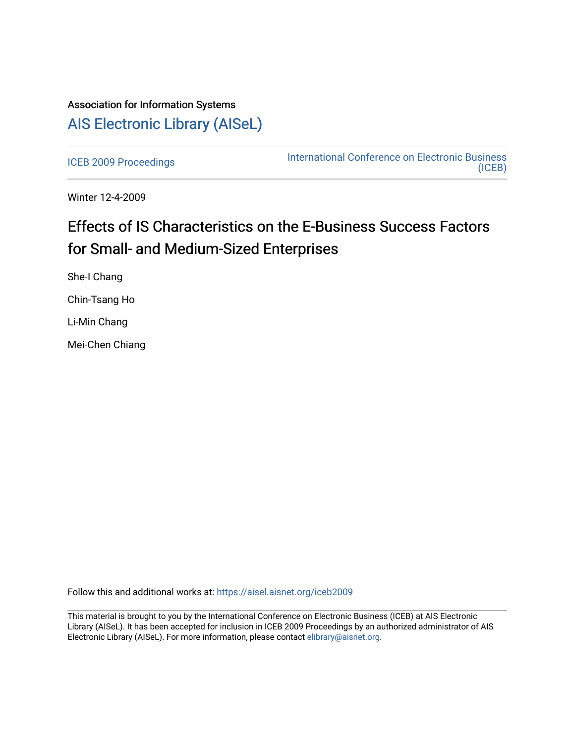# Association for Information Systems [AIS Electronic Library \(AISeL\)](https://aisel.aisnet.org/)

[ICEB 2009 Proceedings](https://aisel.aisnet.org/iceb2009) **International Conference on Electronic Business** [\(ICEB\)](https://aisel.aisnet.org/iceb) 

Winter 12-4-2009

# Effects of IS Characteristics on the E-Business Success Factors for Small- and Medium-Sized Enterprises

She-I Chang Chin-Tsang Ho Li-Min Chang Mei-Chen Chiang

Follow this and additional works at: [https://aisel.aisnet.org/iceb2009](https://aisel.aisnet.org/iceb2009?utm_source=aisel.aisnet.org%2Ficeb2009%2F27&utm_medium=PDF&utm_campaign=PDFCoverPages)

This material is brought to you by the International Conference on Electronic Business (ICEB) at AIS Electronic Library (AISeL). It has been accepted for inclusion in ICEB 2009 Proceedings by an authorized administrator of AIS Electronic Library (AISeL). For more information, please contact [elibrary@aisnet.org.](mailto:elibrary@aisnet.org%3E)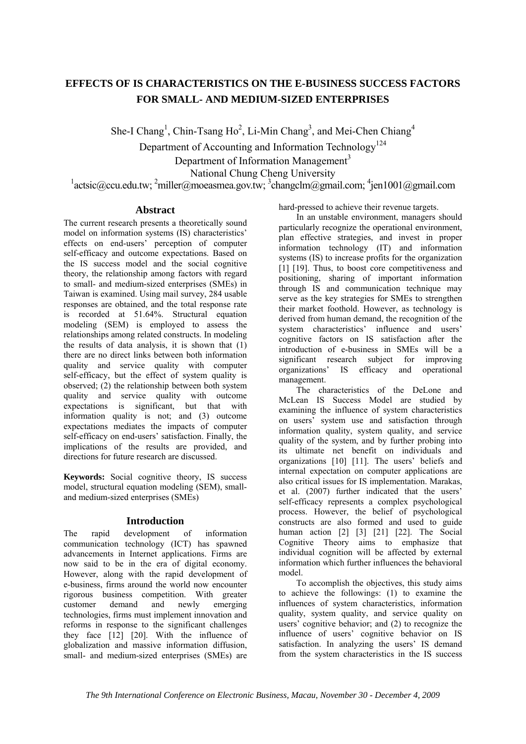# **EFFECTS OF IS CHARACTERISTICS ON THE E-BUSINESS SUCCESS FACTORS FOR SMALL- AND MEDIUM-SIZED ENTERPRISES**

She-I Chang<sup>1</sup>, Chin-Tsang Ho<sup>2</sup>, Li-Min Chang<sup>3</sup>, and Mei-Chen Chiang<sup>4</sup>

Department of Accounting and Information Technology<sup>124</sup>

Department of Information Management<sup>3</sup>

National Chung Cheng University

 $\frac{1}{2}$ actsic@ccu.edu.tw;  $\frac{2}{2}$ miller@moeasmea.gov.tw;  $\frac{3}{2}$ changclm@gmail.com;  $\frac{4}{2}$ jen1001@gmail.com

# **Abstract**

The current research presents a theoretically sound model on information systems (IS) characteristics' effects on end-users' perception of computer self-efficacy and outcome expectations. Based on the IS success model and the social cognitive theory, the relationship among factors with regard to small- and medium-sized enterprises (SMEs) in Taiwan is examined. Using mail survey, 284 usable responses are obtained, and the total response rate is recorded at 51.64%. Structural equation modeling (SEM) is employed to assess the relationships among related constructs. In modeling the results of data analysis, it is shown that (1) there are no direct links between both information quality and service quality with computer self-efficacy, but the effect of system quality is observed; (2) the relationship between both system quality and service quality with outcome expectations is significant, but that with information quality is not; and (3) outcome expectations mediates the impacts of computer self-efficacy on end-users' satisfaction. Finally, the implications of the results are provided, and directions for future research are discussed.

**Keywords:** Social cognitive theory, IS success model, structural equation modeling (SEM), smalland medium-sized enterprises (SMEs)

# **Introduction**

The rapid development of information communication technology (ICT) has spawned advancements in Internet applications. Firms are now said to be in the era of digital economy. However, along with the rapid development of e-business, firms around the world now encounter rigorous business competition. With greater customer demand and newly emerging technologies, firms must implement innovation and reforms in response to the significant challenges they face [12] [20]. With the influence of globalization and massive information diffusion, small- and medium-sized enterprises (SMEs) are

hard-pressed to achieve their revenue targets.

In an unstable environment, managers should particularly recognize the operational environment, plan effective strategies, and invest in proper information technology (IT) and information systems (IS) to increase profits for the organization [1] [19]. Thus, to boost core competitiveness and positioning, sharing of important information through IS and communication technique may serve as the key strategies for SMEs to strengthen their market foothold. However, as technology is derived from human demand, the recognition of the system characteristics' influence and users' cognitive factors on IS satisfaction after the introduction of e-business in SMEs will be a significant research subject for improving organizations' IS efficacy and operational management.

The characteristics of the DeLone and McLean IS Success Model are studied by examining the influence of system characteristics on users' system use and satisfaction through information quality, system quality, and service quality of the system, and by further probing into its ultimate net benefit on individuals and organizations [10] [11]. The users' beliefs and internal expectation on computer applications are also critical issues for IS implementation. Marakas, et al. (2007) further indicated that the users' self-efficacy represents a complex psychological process. However, the belief of psychological constructs are also formed and used to guide human action [2] [3] [21] [22]. The Social Cognitive Theory aims to emphasize that individual cognition will be affected by external information which further influences the behavioral model.

To accomplish the objectives, this study aims to achieve the followings: (1) to examine the influences of system characteristics, information quality, system quality, and service quality on users' cognitive behavior; and (2) to recognize the influence of users' cognitive behavior on IS satisfaction. In analyzing the users' IS demand from the system characteristics in the IS success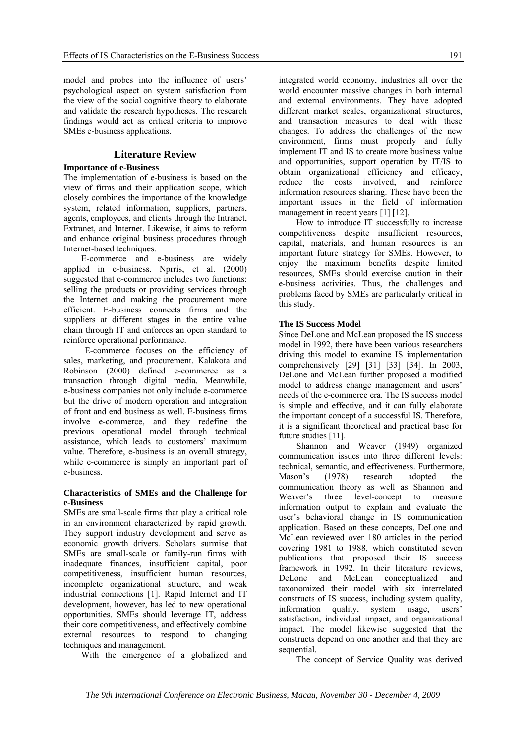model and probes into the influence of users' psychological aspect on system satisfaction from the view of the social cognitive theory to elaborate and validate the research hypotheses. The research findings would act as critical criteria to improve SMEs e-business applications.

## **Literature Review**

### **Importance of e-Business**

The implementation of e-business is based on the view of firms and their application scope, which closely combines the importance of the knowledge system, related information, suppliers, partners, agents, employees, and clients through the Intranet, Extranet, and Internet. Likewise, it aims to reform and enhance original business procedures through Internet-based techniques.

E-commerce and e-business are widely applied in e-business. Nprris, et al. (2000) suggested that e-commerce includes two functions: selling the products or providing services through the Internet and making the procurement more efficient. E-business connects firms and the suppliers at different stages in the entire value chain through IT and enforces an open standard to reinforce operational performance.

 E-commerce focuses on the efficiency of sales, marketing, and procurement. Kalakota and Robinson (2000) defined e-commerce as a transaction through digital media. Meanwhile, e-business companies not only include e-commerce but the drive of modern operation and integration of front and end business as well. E-business firms involve e-commerce, and they redefine the previous operational model through technical assistance, which leads to customers' maximum value. Therefore, e-business is an overall strategy, while e-commerce is simply an important part of e-business.

#### **Characteristics of SMEs and the Challenge for e-Business**

SMEs are small-scale firms that play a critical role in an environment characterized by rapid growth. They support industry development and serve as economic growth drivers. Scholars surmise that SMEs are small-scale or family-run firms with inadequate finances, insufficient capital, poor competitiveness, insufficient human resources, incomplete organizational structure, and weak industrial connections [1]. Rapid Internet and IT development, however, has led to new operational opportunities. SMEs should leverage IT, address their core competitiveness, and effectively combine external resources to respond to changing techniques and management.

With the emergence of a globalized and

integrated world economy, industries all over the world encounter massive changes in both internal and external environments. They have adopted different market scales, organizational structures, and transaction measures to deal with these changes. To address the challenges of the new environment, firms must properly and fully implement IT and IS to create more business value and opportunities, support operation by IT/IS to obtain organizational efficiency and efficacy, reduce the costs involved, and reinforce information resources sharing. These have been the important issues in the field of information management in recent years [1] [12].

How to introduce IT successfully to increase competitiveness despite insufficient resources, capital, materials, and human resources is an important future strategy for SMEs. However, to enjoy the maximum benefits despite limited resources, SMEs should exercise caution in their e-business activities. Thus, the challenges and problems faced by SMEs are particularly critical in this study.

## **The IS Success Model**

Since DeLone and McLean proposed the IS success model in 1992, there have been various researchers driving this model to examine IS implementation comprehensively [29] [31] [33] [34]. In 2003, DeLone and McLean further proposed a modified model to address change management and users' needs of the e-commerce era. The IS success model is simple and effective, and it can fully elaborate the important concept of a successful IS. Therefore, it is a significant theoretical and practical base for future studies [11].

Shannon and Weaver (1949) organized communication issues into three different levels: technical, semantic, and effectiveness. Furthermore, Mason's (1978) research adopted the communication theory as well as Shannon and Weaver's three level-concept to measure information output to explain and evaluate the user's behavioral change in IS communication application. Based on these concepts, DeLone and McLean reviewed over 180 articles in the period covering 1981 to 1988, which constituted seven publications that proposed their IS success framework in 1992. In their literature reviews, DeLone and McLean conceptualized and taxonomized their model with six interrelated constructs of IS success, including system quality, information quality, system usage, users' satisfaction, individual impact, and organizational impact. The model likewise suggested that the constructs depend on one another and that they are sequential.

The concept of Service Quality was derived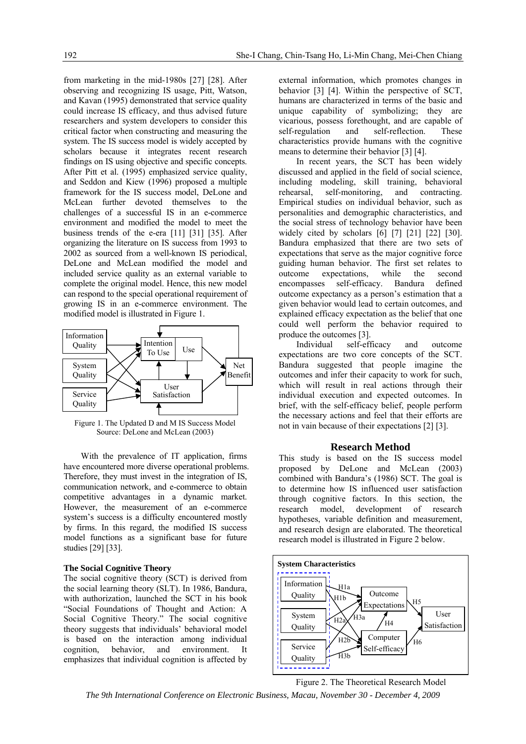from marketing in the mid-1980s [27] [28]. After observing and recognizing IS usage, Pitt, Watson, and Kavan (1995) demonstrated that service quality could increase IS efficacy, and thus advised future researchers and system developers to consider this critical factor when constructing and measuring the system. The IS success model is widely accepted by scholars because it integrates recent research findings on IS using objective and specific concepts. After Pitt et al. (1995) emphasized service quality, and Seddon and Kiew (1996) proposed a multiple framework for the IS success model, DeLone and McLean further devoted themselves to the challenges of a successful IS in an e-commerce environment and modified the model to meet the business trends of the e-era [11] [31] [35]. After organizing the literature on IS success from 1993 to 2002 as sourced from a well-known IS periodical, DeLone and McLean modified the model and included service quality as an external variable to complete the original model. Hence, this new model can respond to the special operational requirement of growing IS in an e-commerce environment. The modified model is illustrated in Figure 1.



Figure 1. The Updated D and M IS Success Model Source: DeLone and McLean (2003)

With the prevalence of IT application, firms have encountered more diverse operational problems. Therefore, they must invest in the integration of IS, communication network, and e-commerce to obtain competitive advantages in a dynamic market. However, the measurement of an e-commerce system's success is a difficulty encountered mostly by firms. In this regard, the modified IS success model functions as a significant base for future studies [29] [33].

#### **The Social Cognitive Theory**

The social cognitive theory (SCT) is derived from the social learning theory (SLT). In 1986, Bandura, with authorization, launched the SCT in his book "Social Foundations of Thought and Action: A Social Cognitive Theory." The social cognitive theory suggests that individuals' behavioral model is based on the interaction among individual cognition, behavior, and environment. It emphasizes that individual cognition is affected by

external information, which promotes changes in behavior [3] [4]. Within the perspective of SCT, humans are characterized in terms of the basic and unique capability of symbolizing; they are vicarious, possess forethought, and are capable of self-regulation and self-reflection. These characteristics provide humans with the cognitive means to determine their behavior [3] [4].

In recent years, the SCT has been widely discussed and applied in the field of social science, including modeling, skill training, behavioral rehearsal, self-monitoring, and contracting. Empirical studies on individual behavior, such as personalities and demographic characteristics, and the social stress of technology behavior have been widely cited by scholars [6] [7] [21] [22] [30]. Bandura emphasized that there are two sets of expectations that serve as the major cognitive force guiding human behavior. The first set relates to outcome expectations, while the second encompasses self-efficacy. Bandura defined outcome expectancy as a person's estimation that a given behavior would lead to certain outcomes, and explained efficacy expectation as the belief that one could well perform the behavior required to produce the outcomes [3].

Individual self-efficacy and outcome expectations are two core concepts of the SCT. Bandura suggested that people imagine the outcomes and infer their capacity to work for such, which will result in real actions through their individual execution and expected outcomes. In brief, with the self-efficacy belief, people perform the necessary actions and feel that their efforts are not in vain because of their expectations [2] [3].

#### **Research Method**

This study is based on the IS success model proposed by DeLone and McLean (2003) combined with Bandura's (1986) SCT. The goal is to determine how IS influenced user satisfaction through cognitive factors. In this section, the research model, development of research hypotheses, variable definition and measurement, and research design are elaborated. The theoretical research model is illustrated in Figure 2 below.



Figure 2. The Theoretical Research Model

*The 9th International Conference on Electronic Business, Macau, November 30 - December 4, 2009*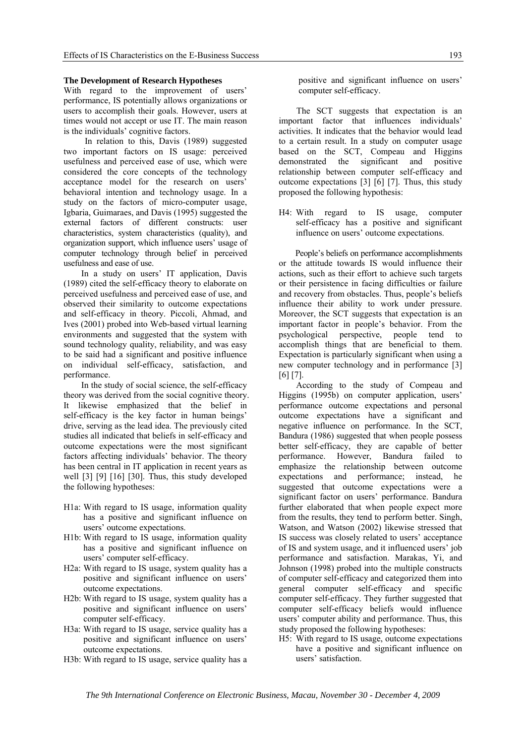#### **The Development of Research Hypotheses**

With regard to the improvement of users' performance, IS potentially allows organizations or users to accomplish their goals. However, users at times would not accept or use IT. The main reason is the individuals' cognitive factors.

 In relation to this, Davis (1989) suggested two important factors on IS usage: perceived usefulness and perceived ease of use, which were considered the core concepts of the technology acceptance model for the research on users' behavioral intention and technology usage. In a study on the factors of micro-computer usage, Igbaria, Guimaraes, and Davis (1995) suggested the external factors of different constructs: user characteristics, system characteristics (quality), and organization support, which influence users' usage of computer technology through belief in perceived usefulness and ease of use.

In a study on users' IT application, Davis (1989) cited the self-efficacy theory to elaborate on perceived usefulness and perceived ease of use, and observed their similarity to outcome expectations and self-efficacy in theory. Piccoli, Ahmad, and Ives (2001) probed into Web-based virtual learning environments and suggested that the system with sound technology quality, reliability, and was easy to be said had a significant and positive influence on individual self-efficacy, satisfaction, and performance.

In the study of social science, the self-efficacy theory was derived from the social cognitive theory. It likewise emphasized that the belief in self-efficacy is the key factor in human beings' drive, serving as the lead idea. The previously cited studies all indicated that beliefs in self-efficacy and outcome expectations were the most significant factors affecting individuals' behavior. The theory has been central in IT application in recent years as well [3] [9] [16] [30]. Thus, this study developed the following hypotheses:

- H1a: With regard to IS usage, information quality has a positive and significant influence on users' outcome expectations.
- H1b: With regard to IS usage, information quality has a positive and significant influence on users' computer self-efficacy.
- H2a: With regard to IS usage, system quality has a positive and significant influence on users' outcome expectations.
- H2b: With regard to IS usage, system quality has a positive and significant influence on users' computer self-efficacy.
- H3a: With regard to IS usage, service quality has a positive and significant influence on users' outcome expectations.
- H3b: With regard to IS usage, service quality has a

positive and significant influence on users' computer self-efficacy.

The SCT suggests that expectation is an important factor that influences individuals' activities. It indicates that the behavior would lead to a certain result. In a study on computer usage based on the SCT, Compeau and Higgins demonstrated the significant and positive relationship between computer self-efficacy and outcome expectations [3] [6] [7]. Thus, this study proposed the following hypothesis:

H4: With regard to IS usage, computer self-efficacy has a positive and significant influence on users' outcome expectations.

People's beliefs on performance accomplishments or the attitude towards IS would influence their actions, such as their effort to achieve such targets or their persistence in facing difficulties or failure and recovery from obstacles. Thus, people's beliefs influence their ability to work under pressure. Moreover, the SCT suggests that expectation is an important factor in people's behavior. From the psychological perspective, people tend to accomplish things that are beneficial to them. Expectation is particularly significant when using a new computer technology and in performance [3] [6] [7].

According to the study of Compeau and Higgins (1995b) on computer application, users' performance outcome expectations and personal outcome expectations have a significant and negative influence on performance. In the SCT, Bandura (1986) suggested that when people possess better self-efficacy, they are capable of better performance. However, Bandura failed to emphasize the relationship between outcome expectations and performance; instead, he suggested that outcome expectations were a significant factor on users' performance. Bandura further elaborated that when people expect more from the results, they tend to perform better. Singh, Watson, and Watson (2002) likewise stressed that IS success was closely related to users' acceptance of IS and system usage, and it influenced users' job performance and satisfaction. Marakas, Yi, and Johnson (1998) probed into the multiple constructs of computer self-efficacy and categorized them into general computer self-efficacy and specific computer self-efficacy. They further suggested that computer self-efficacy beliefs would influence users' computer ability and performance. Thus, this study proposed the following hypotheses:

H5: With regard to IS usage, outcome expectations have a positive and significant influence on users' satisfaction.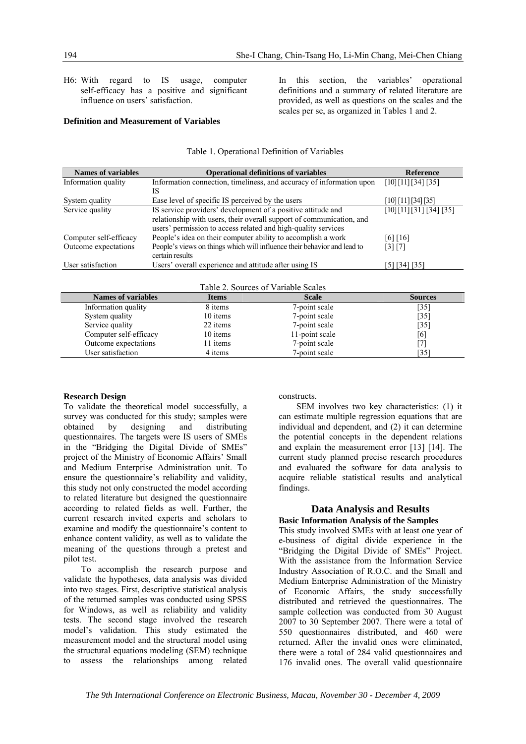H6: With regard to IS usage, computer self-efficacy has a positive and significant influence on users' satisfaction.

#### **Definition and Measurement of Variables**

In this section, the variables' operational definitions and a summary of related literature are provided, as well as questions on the scales and the scales per se, as organized in Tables 1 and 2.

| <b>Names of variables</b> | <b>Operational definitions of variables</b>                              | <b>Reference</b>     |
|---------------------------|--------------------------------------------------------------------------|----------------------|
| Information quality       | Information connection, timeliness, and accuracy of information upon     | [10][11][34][35]     |
|                           | IS                                                                       |                      |
| System quality            | Ease level of specific IS perceived by the users                         | [10] [11] [34] [35]  |
| Service quality           | IS service providers' development of a positive attitude and             | [10][11][31][34][35] |
|                           | relationship with users, their overall support of communication, and     |                      |
|                           | users' permission to access related and high-quality services            |                      |
| Computer self-efficacy    | People's idea on their computer ability to accomplish a work             | [6] [16]             |
| Outcome expectations      | People's views on things which will influence their behavior and lead to | [3] [7]              |
|                           | certain results                                                          |                      |
| User satisfaction         | Users' overall experience and attitude after using IS                    | [5] [34] [35]        |
|                           |                                                                          |                      |

| Table 2. Sources of Variable Scales |              |                |                    |  |  |  |
|-------------------------------------|--------------|----------------|--------------------|--|--|--|
| <b>Names of variables</b>           | <b>Items</b> | <b>Scale</b>   | <b>Sources</b>     |  |  |  |
| Information quality                 | 8 items      | 7-point scale  | $[35]$             |  |  |  |
| System quality                      | 10 items     | 7-point scale  | $\lceil 35 \rceil$ |  |  |  |
| Service quality                     | 22 items     | 7-point scale  | $[35]$             |  |  |  |
| Computer self-efficacy              | 10 items     | 11-point scale | [6]                |  |  |  |
| Outcome expectations                | 11 items     | 7-point scale  |                    |  |  |  |
| User satisfaction                   | 4 items      | 7-point scale  | $\lceil 35 \rceil$ |  |  |  |

#### **Research Design**

To validate the theoretical model successfully, a survey was conducted for this study; samples were obtained by designing and distributing questionnaires. The targets were IS users of SMEs in the "Bridging the Digital Divide of SMEs" project of the Ministry of Economic Affairs' Small and Medium Enterprise Administration unit. To ensure the questionnaire's reliability and validity, this study not only constructed the model according to related literature but designed the questionnaire according to related fields as well. Further, the current research invited experts and scholars to examine and modify the questionnaire's content to enhance content validity, as well as to validate the meaning of the questions through a pretest and pilot test.

To accomplish the research purpose and validate the hypotheses, data analysis was divided into two stages. First, descriptive statistical analysis of the returned samples was conducted using SPSS for Windows, as well as reliability and validity tests. The second stage involved the research model's validation. This study estimated the measurement model and the structural model using the structural equations modeling (SEM) technique to assess the relationships among related

constructs.

SEM involves two key characteristics: (1) it can estimate multiple regression equations that are individual and dependent, and (2) it can determine the potential concepts in the dependent relations and explain the measurement error [13] [14]. The current study planned precise research procedures and evaluated the software for data analysis to acquire reliable statistical results and analytical findings.

#### **Data Analysis and Results Basic Information Analysis of the Samples**

This study involved SMEs with at least one year of e-business of digital divide experience in the "Bridging the Digital Divide of SMEs" Project. With the assistance from the Information Service Industry Association of R.O.C. and the Small and Medium Enterprise Administration of the Ministry of Economic Affairs, the study successfully distributed and retrieved the questionnaires. The sample collection was conducted from 30 August 2007 to 30 September 2007. There were a total of 550 questionnaires distributed, and 460 were returned. After the invalid ones were eliminated, there were a total of 284 valid questionnaires and 176 invalid ones. The overall valid questionnaire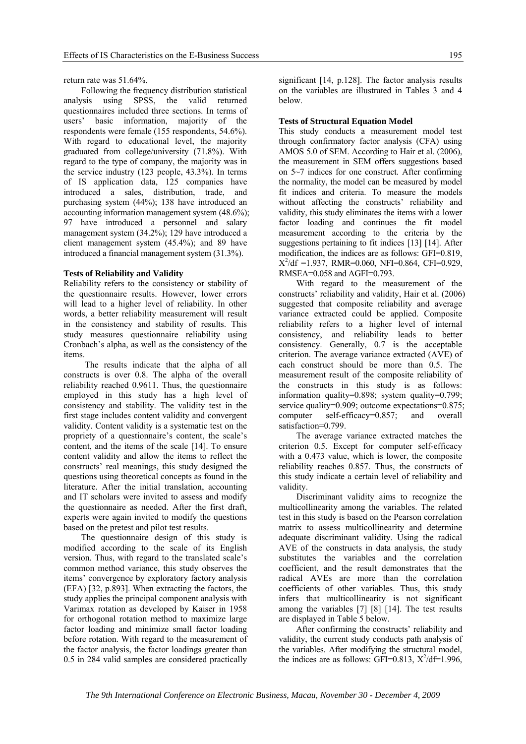return rate was 51.64%.

Following the frequency distribution statistical analysis using SPSS, the valid returned questionnaires included three sections. In terms of users' basic information, majority of the respondents were female (155 respondents, 54.6%). With regard to educational level, the majority graduated from college/university (71.8%). With regard to the type of company, the majority was in the service industry (123 people, 43.3%). In terms of IS application data, 125 companies have introduced a sales, distribution, trade, and purchasing system (44%); 138 have introduced an accounting information management system (48.6%); 97 have introduced a personnel and salary management system (34.2%); 129 have introduced a client management system (45.4%); and 89 have introduced a financial management system (31.3%).

#### **Tests of Reliability and Validity**

Reliability refers to the consistency or stability of the questionnaire results. However, lower errors will lead to a higher level of reliability. In other words, a better reliability measurement will result in the consistency and stability of results. This study measures questionnaire reliability using Cronbach's alpha, as well as the consistency of the items.

 The results indicate that the alpha of all constructs is over 0.8. The alpha of the overall reliability reached 0.9611. Thus, the questionnaire employed in this study has a high level of consistency and stability. The validity test in the first stage includes content validity and convergent validity. Content validity is a systematic test on the propriety of a questionnaire's content, the scale's content, and the items of the scale [14]. To ensure content validity and allow the items to reflect the constructs' real meanings, this study designed the questions using theoretical concepts as found in the literature. After the initial translation, accounting and IT scholars were invited to assess and modify the questionnaire as needed. After the first draft, experts were again invited to modify the questions based on the pretest and pilot test results.

The questionnaire design of this study is modified according to the scale of its English version. Thus, with regard to the translated scale's common method variance, this study observes the items' convergence by exploratory factory analysis (EFA) [32, p.893]. When extracting the factors, the study applies the principal component analysis with Varimax rotation as developed by Kaiser in 1958 for orthogonal rotation method to maximize large factor loading and minimize small factor loading before rotation. With regard to the measurement of the factor analysis, the factor loadings greater than 0.5 in 284 valid samples are considered practically

significant [14, p.128]. The factor analysis results on the variables are illustrated in Tables 3 and 4 below.

#### **Tests of Structural Equation Model**

This study conducts a measurement model test through confirmatory factor analysis (CFA) using AMOS 5.0 of SEM. According to Hair et al. (2006), the measurement in SEM offers suggestions based on 5~7 indices for one construct. After confirming the normality, the model can be measured by model fit indices and criteria. To measure the models without affecting the constructs' reliability and validity, this study eliminates the items with a lower factor loading and continues the fit model measurement according to the criteria by the suggestions pertaining to fit indices [13] [14]. After modification, the indices are as follows: GFI=0.819,  $X^2/df = 1.937$ , RMR=0.060, NFI=0.864, CFI=0.929, RMSEA=0.058 and AGFI=0.793.

With regard to the measurement of the constructs' reliability and validity, Hair et al. (2006) suggested that composite reliability and average variance extracted could be applied. Composite reliability refers to a higher level of internal consistency, and reliability leads to better consistency. Generally, 0.7 is the acceptable criterion. The average variance extracted (AVE) of each construct should be more than 0.5. The measurement result of the composite reliability of the constructs in this study is as follows: information quality=0.898; system quality=0.799; service quality=0.909; outcome expectations=0.875; computer self-efficacy=0.857; and overall satisfaction=0.799.

The average variance extracted matches the criterion 0.5. Except for computer self-efficacy with a 0.473 value, which is lower, the composite reliability reaches 0.857. Thus, the constructs of this study indicate a certain level of reliability and validity.

Discriminant validity aims to recognize the multicollinearity among the variables. The related test in this study is based on the Pearson correlation matrix to assess multicollinearity and determine adequate discriminant validity. Using the radical AVE of the constructs in data analysis, the study substitutes the variables and the correlation coefficient, and the result demonstrates that the radical AVEs are more than the correlation coefficients of other variables. Thus, this study infers that multicollinearity is not significant among the variables [7] [8] [14]. The test results are displayed in Table 5 below.

After confirming the constructs' reliability and validity, the current study conducts path analysis of the variables. After modifying the structural model, the indices are as follows: GFI=0.813,  $X^2/df=1.996$ ,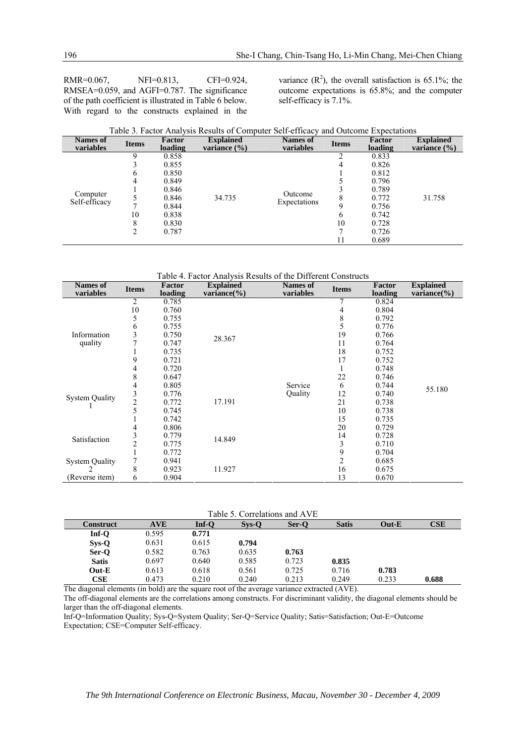RMR=0.067, NFI=0.813, CFI=0.924, RMSEA=0.059, and AGFI=0.787. The significance of the path coefficient is illustrated in Table 6 below. With regard to the constructs explained in the

variance  $(R^2)$ , the overall satisfaction is 65.1%; the outcome expectations is 65.8%; and the computer self-efficacy is 7.1%.

11 0.689

31.758

| Table 3. Factor Analysis Results of Computer Self-efficacy and Outcome Expectations |       |                   |                                      |                       |              |                   |                                      |  |
|-------------------------------------------------------------------------------------|-------|-------------------|--------------------------------------|-----------------------|--------------|-------------------|--------------------------------------|--|
| Names of<br>variables                                                               | Items | Factor<br>loading | <b>Explained</b><br>variance $(\% )$ | Names of<br>variables | <b>Items</b> | Factor<br>loading | <b>Explained</b><br>variance $(\% )$ |  |
|                                                                                     |       | 0.858             |                                      |                       |              | 0.833             |                                      |  |
|                                                                                     |       | 0.855             |                                      |                       | 4            | 0.826             |                                      |  |
|                                                                                     | 6     | 0.850             |                                      |                       |              | 0.812             |                                      |  |
|                                                                                     |       | 0.849             |                                      |                       |              | 0.796             |                                      |  |

1 0.846 0.110 0.789  $5 \qquad 0.846 \qquad 34.735 \qquad \qquad \text{Uncomplete} \qquad 8 \qquad 0.772$ 7 0.844 **Experiments** 9 0.756 10 0.838 6 0.742 8 0.830 10 0.728 2 0.787 7 0.726

34.735 Outcome

Expectations

Table 4. Factor Analysis Results of the Different Constructs

| <b>Names of</b><br>variables | <b>Items</b>   | <b>Factor</b><br>loading | <b>Explained</b><br>variance $(\% )$ | <b>Names</b> of<br>variables | <b>Items</b>   | <b>Factor</b><br>loading | <b>Explained</b><br>variance $(\% )$ |
|------------------------------|----------------|--------------------------|--------------------------------------|------------------------------|----------------|--------------------------|--------------------------------------|
|                              | 2              | 0.785                    |                                      |                              | ┑              | 0.824                    |                                      |
|                              | 10             | 0.760                    |                                      |                              | 4              | 0.804                    |                                      |
|                              | 5              | 0.755                    |                                      |                              | $\,$ 8 $\,$    | 0.792                    |                                      |
|                              | 6              | 0.755                    |                                      |                              | 5              | 0.776                    |                                      |
| Information                  | 3              | 0.750                    | 28.367                               |                              | 19             | 0.766                    |                                      |
| quality                      |                | 0.747                    |                                      |                              | 11             | 0.764                    |                                      |
|                              |                | 0.735                    |                                      |                              | 18             | 0.752                    |                                      |
|                              | 9              | 0.721                    |                                      |                              | 17             | 0.752                    |                                      |
|                              | 4              | 0.720                    |                                      |                              |                | 0.748                    |                                      |
|                              | 8              | 0.647                    |                                      |                              | 22             | 0.746                    |                                      |
|                              | 4              | 0.805                    |                                      | Service<br>Quality           | 6              | 0.744                    | 55.180                               |
| <b>System Quality</b>        | 3              | 0.776                    |                                      |                              | 12             | 0.740                    |                                      |
|                              | $\overline{c}$ | 0.772                    | 17.191                               |                              | 21             | 0.738                    |                                      |
|                              | 5              | 0.745                    |                                      |                              | 10             | 0.738                    |                                      |
|                              |                | 0.742                    |                                      |                              | 15             | 0.735                    |                                      |
|                              | 4              | 0.806                    |                                      |                              | 20             | 0.729                    |                                      |
| Satisfaction                 | 3              | 0.779                    |                                      |                              | 14             | 0.728                    |                                      |
|                              | 2              | 0.775                    | 14.849                               |                              | 3              | 0.710                    |                                      |
|                              |                | 0.772                    |                                      |                              | 9              | 0.704                    |                                      |
| <b>System Quality</b>        | 7              | 0.941                    |                                      |                              | $\overline{c}$ | 0.685                    |                                      |
| $\mathfrak{D}$               | 8              | 0.923                    | 11.927                               |                              | 16             | 0.675                    |                                      |
| (Reverse item)               | 6              | 0.904                    |                                      |                              | 13             | 0.670                    |                                      |

#### Table 5. Correlations and AVE

| Construct    | <b>AVE</b> | $Inf-O$ | $Sys-O$ | Ser-O | <b>Satis</b> | $Out-E$ | $\bf CSE$ |
|--------------|------------|---------|---------|-------|--------------|---------|-----------|
| $Inf-O$      | 0.595      | 0.771   |         |       |              |         |           |
| $Sys-O$      | 0.631      | 0.615   | 0.794   |       |              |         |           |
| Ser-O        | 0.582      | 0.763   | 0.635   | 0.763 |              |         |           |
| <b>Satis</b> | 0.697      | 0.640   | 0.585   | 0.723 | 0.835        |         |           |
| Out-E        | 0.613      | 0.618   | 0.561   | 0.725 | 0.716        | 0.783   |           |
| CSE          | 0.473      | 0.210   | 0.240   | 0.213 | 0.249        | 0.233   | 0.688     |

The diagonal elements (in bold) are the square root of the average variance extracted (AVE).

The off-diagonal elements are the correlations among constructs. For discriminant validity, the diagonal elements should be larger than the off-diagonal elements.

Inf-Q=Information Quality; Sys-Q=System Quality; Ser-Q=Service Quality; Satis=Satisfaction; Out-E=Outcome Expectation; CSE=Computer Self-efficacy.

Computer Self-efficacy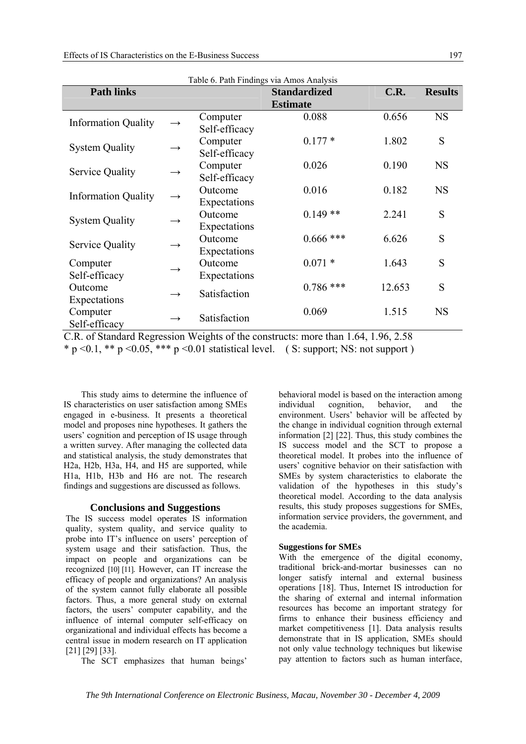| Table 6. Path Findings via Amos Analysis |               |               |                     |        |                |  |  |
|------------------------------------------|---------------|---------------|---------------------|--------|----------------|--|--|
| <b>Path links</b>                        |               |               | <b>Standardized</b> | C.R.   | <b>Results</b> |  |  |
|                                          |               |               | <b>Estimate</b>     |        |                |  |  |
| <b>Information Quality</b>               |               | Computer      | 0.088               | 0.656  | <b>NS</b>      |  |  |
|                                          |               | Self-efficacy |                     |        |                |  |  |
| <b>System Quality</b>                    |               | Computer      | $0.177*$            | 1.802  | S              |  |  |
|                                          |               | Self-efficacy |                     |        |                |  |  |
| <b>Service Quality</b>                   |               | Computer      | 0.026               | 0.190  | <b>NS</b>      |  |  |
|                                          |               | Self-efficacy |                     |        |                |  |  |
| <b>Information Quality</b>               |               | Outcome       | 0.016               | 0.182  | <b>NS</b>      |  |  |
|                                          |               | Expectations  |                     |        |                |  |  |
| <b>System Quality</b>                    |               | Outcome       | $0.149**$           | 2.241  | S              |  |  |
|                                          |               | Expectations  |                     |        |                |  |  |
| <b>Service Quality</b>                   | $\rightarrow$ | Outcome       | $0.666$ ***         | 6.626  | S              |  |  |
|                                          |               | Expectations  |                     |        |                |  |  |
| Computer                                 | $\rightarrow$ | Outcome       | $0.071*$            | 1.643  | S              |  |  |
| Self-efficacy                            |               | Expectations  |                     |        |                |  |  |
| Outcome                                  | $\rightarrow$ | Satisfaction  | $0.786$ ***         | 12.653 | S              |  |  |
| Expectations                             |               |               |                     |        |                |  |  |
| Computer                                 | $\rightarrow$ | Satisfaction  | 0.069               | 1.515  | <b>NS</b>      |  |  |
| Self-efficacy                            |               |               |                     |        |                |  |  |

C.R. of Standard Regression Weights of the constructs: more than 1.64, 1.96, 2.58 \* p < 0.1, \*\* p < 0.05, \*\*\* p < 0.01 statistical level. ( S: support; NS: not support )

This study aims to determine the influence of IS characteristics on user satisfaction among SMEs engaged in e-business. It presents a theoretical model and proposes nine hypotheses. It gathers the users' cognition and perception of IS usage through a written survey. After managing the collected data and statistical analysis, the study demonstrates that H2a, H2b, H3a, H4, and H5 are supported, while H1a, H1b, H3b and H6 are not. The research findings and suggestions are discussed as follows.

#### **Conclusions and Suggestions**

The IS success model operates IS information quality, system quality, and service quality to probe into IT's influence on users' perception of system usage and their satisfaction. Thus, the impact on people and organizations can be recognized [10] [11]. However, can IT increase the efficacy of people and organizations? An analysis of the system cannot fully elaborate all possible factors. Thus, a more general study on external factors, the users' computer capability, and the influence of internal computer self-efficacy on organizational and individual effects has become a central issue in modern research on IT application [21] [29] [33].

The SCT emphasizes that human beings'

behavioral model is based on the interaction among individual cognition behavior and the environment. Users' behavior will be affected by the change in individual cognition through external information [2] [22]. Thus, this study combines the IS success model and the SCT to propose a theoretical model. It probes into the influence of users' cognitive behavior on their satisfaction with SMEs by system characteristics to elaborate the validation of the hypotheses in this study's theoretical model. According to the data analysis results, this study proposes suggestions for SMEs, information service providers, the government, and the academia.

#### **Suggestions for SMEs**

With the emergence of the digital economy, traditional brick-and-mortar businesses can no longer satisfy internal and external business operations [18]. Thus, Internet IS introduction for the sharing of external and internal information resources has become an important strategy for firms to enhance their business efficiency and market competitiveness [1]. Data analysis results demonstrate that in IS application, SMEs should not only value technology techniques but likewise pay attention to factors such as human interface,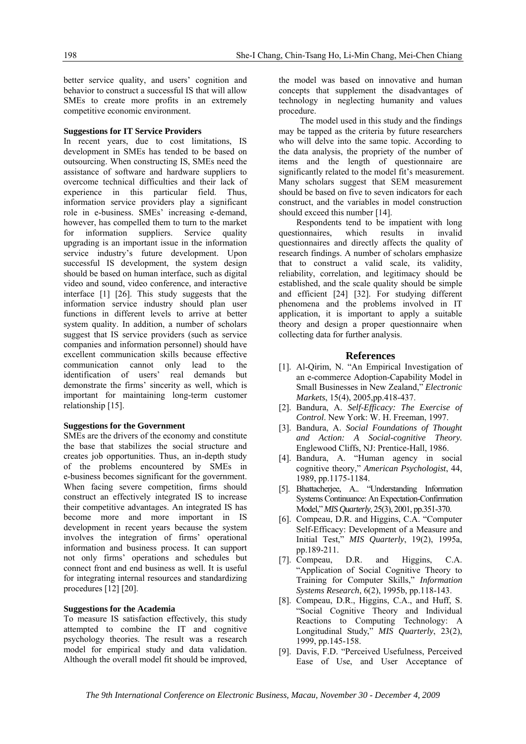better service quality, and users' cognition and behavior to construct a successful IS that will allow SMEs to create more profits in an extremely competitive economic environment.

#### **Suggestions for IT Service Providers**

In recent years, due to cost limitations, IS development in SMEs has tended to be based on outsourcing. When constructing IS, SMEs need the assistance of software and hardware suppliers to overcome technical difficulties and their lack of experience in this particular field. Thus, information service providers play a significant role in e-business. SMEs' increasing e-demand, however, has compelled them to turn to the market for information suppliers. Service quality upgrading is an important issue in the information service industry's future development. Upon successful IS development, the system design should be based on human interface, such as digital video and sound, video conference, and interactive interface [1] [26]. This study suggests that the information service industry should plan user functions in different levels to arrive at better system quality. In addition, a number of scholars suggest that IS service providers (such as service companies and information personnel) should have excellent communication skills because effective communication cannot only lead to the identification of users' real demands but demonstrate the firms' sincerity as well, which is important for maintaining long-term customer relationship [15].

#### **Suggestions for the Government**

SMEs are the drivers of the economy and constitute the base that stabilizes the social structure and creates job opportunities. Thus, an in-depth study of the problems encountered by SMEs in e-business becomes significant for the government. When facing severe competition, firms should construct an effectively integrated IS to increase their competitive advantages. An integrated IS has become more and more important in IS development in recent years because the system involves the integration of firms' operational information and business process. It can support not only firms' operations and schedules but connect front and end business as well. It is useful for integrating internal resources and standardizing procedures [12] [20].

#### **Suggestions for the Academia**

To measure IS satisfaction effectively, this study attempted to combine the IT and cognitive psychology theories. The result was a research model for empirical study and data validation. Although the overall model fit should be improved,

the model was based on innovative and human concepts that supplement the disadvantages of technology in neglecting humanity and values procedure.

 The model used in this study and the findings may be tapped as the criteria by future researchers who will delve into the same topic. According to the data analysis, the propriety of the number of items and the length of questionnaire are significantly related to the model fit's measurement. Many scholars suggest that SEM measurement should be based on five to seven indicators for each construct, and the variables in model construction should exceed this number [14].

Respondents tend to be impatient with long questionnaires, which results in invalid questionnaires and directly affects the quality of research findings. A number of scholars emphasize that to construct a valid scale, its validity, reliability, correlation, and legitimacy should be established, and the scale quality should be simple and efficient [24] [32]. For studying different phenomena and the problems involved in IT application, it is important to apply a suitable theory and design a proper questionnaire when collecting data for further analysis.

#### **References**

- [1]. Al-Qirim, N. "An Empirical Investigation of an e-commerce Adoption-Capability Model in Small Businesses in New Zealand," *Electronic Markets*, 15(4), 2005,pp.418-437.
- [2]. Bandura, A. *Self-Efficacy: The Exercise of Control*. New York: W. H. Freeman, 1997.
- [3]. Bandura, A. *Social Foundations of Thought and Action: A Social-cognitive Theory.*  Englewood Cliffs, NJ: Prentice-Hall, 1986.
- [4]. Bandura, A. "Human agency in social cognitive theory," *American Psychologist*, 44, 1989, pp.1175-1184.
- [5]. Bhattacherjee, A.. "Understanding Information Systems Continuance: An Expectation-Confirmation Model," *MIS Quarterly*, 25(3), 2001, pp.351-370.
- [6]. Compeau, D.R. and Higgins, C.A. "Computer Self-Efficacy: Development of a Measure and Initial Test," *MIS Quarterly*, 19(2), 1995a, pp.189-211.
- [7]. Compeau, D.R. and Higgins, C.A. "Application of Social Cognitive Theory to Training for Computer Skills," *Information Systems Research*, 6(2), 1995b, pp.118-143.
- [8]. Compeau, D.R., Higgins, C.A., and Huff, S. "Social Cognitive Theory and Individual Reactions to Computing Technology: A Longitudinal Study," *MIS Quarterly*, 23(2), 1999, pp.145-158.
- [9]. Davis, F.D. "Perceived Usefulness, Perceived Ease of Use, and User Acceptance of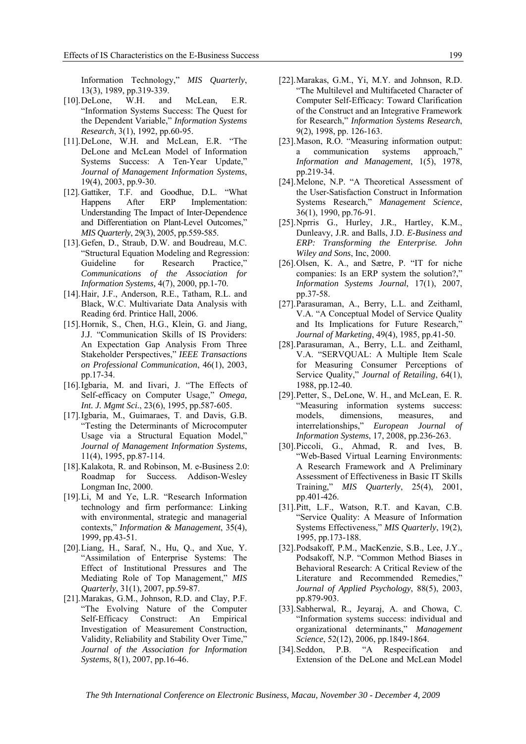Information Technology," *MIS Quarterly*, 13(3), 1989, pp.319-339.

- [10].DeLone, W.H. and McLean, E.R. "Information Systems Success: The Quest for the Dependent Variable," *Information Systems Research*, 3(1), 1992, pp.60-95.
- [11].DeLone, W.H. and McLean, E.R. "The DeLone and McLean Model of Information Systems Success: A Ten-Year Update," *Journal of Management Information Systems*, 19(4), 2003, pp.9-30.
- [12]. Gattiker, T.F. and Goodhue, D.L. "What Happens After ERP Implementation: Understanding The Impact of Inter-Dependence and Differentiation on Plant-Level Outcomes," *MIS Quarterly*, 29(3), 2005, pp.559-585.
- [13].Gefen, D., Straub, D.W. and Boudreau, M.C. "Structural Equation Modeling and Regression: Guideline for Research Practice," *Communications of the Association for Information Systems,* 4(7), 2000, pp.1-70.
- [14].Hair, J.F., Anderson, R.E., Tatham, R.L. and Black, W.C. Multivariate Data Analysis with Reading 6rd. Printice Hall, 2006.
- [15].Hornik, S., Chen, H.G., Klein, G. and Jiang, J.J. "Communication Skills of IS Providers: An Expectation Gap Analysis From Three Stakeholder Perspectives," *IEEE Transactions on Professional Communication*, 46(1), 2003, pp.17-34.
- [16].Igbaria, M. and Iivari, J. "The Effects of Self-efficacy on Computer Usage," *Omega, Int. J. Mgmt Sci.*, 23(6), 1995, pp.587-605.
- [17].Igbaria, M., Guimaraes, T. and Davis, G.B. "Testing the Determinants of Microcomputer Usage via a Structural Equation Model," *Journal of Management Information Systems*, 11(4), 1995, pp.87-114.
- [18].Kalakota, R. and Robinson, M. e-Business 2.0: Roadmap for Success. Addison-Wesley Longman Inc, 2000.
- [19].Li, M and Ye, L.R. "Research Information technology and firm performance: Linking with environmental, strategic and managerial contexts," *Information & Management*, 35(4), 1999, pp.43-51.
- [20].Liang, H., Saraf, N., Hu, Q., and Xue, Y. "Assimilation of Enterprise Systems: The Effect of Institutional Pressures and The Mediating Role of Top Management," *MIS Quarterly*, 31(1), 2007, pp.59-87.
- [21].Marakas, G.M., Johnson, R.D. and Clay, P.F. "The Evolving Nature of the Computer Self-Efficacy Construct: An Empirical Investigation of Measurement Construction, Validity, Reliability and Stability Over Time,' *Journal of the Association for Information Systems*, 8(1), 2007, pp.16-46.
- [22].Marakas, G.M., Yi, M.Y. and Johnson, R.D. "The Multilevel and Multifaceted Character of Computer Self-Efficacy: Toward Clarification of the Construct and an Integrative Framework for Research," *Information Systems Research*, 9(2), 1998, pp. 126-163.
- [23].Mason, R.O. "Measuring information output: a communication systems approach," *Information and Management*, 1(5), 1978, pp.219-34.
- [24].Melone, N.P. "A Theoretical Assessment of the User-Satisfaction Construct in Information Systems Research," *Management Science*, 36(1), 1990, pp.76-91.
- [25].Nprris G., Hurley, J.R., Hartley, K.M., Dunleavy, J.R. and Balls, J.D. *E-Business and ERP: Transforming the Enterprise. John Wiley and Sons*, Inc, 2000.
- [26].Olsen, K. A., and Sætre, P. "IT for niche companies: Is an ERP system the solution?," *Information Systems Journal*, 17(1), 2007, pp.37-58.
- [27].Parasuraman, A., Berry, L.L. and Zeithaml, V.A. "A Conceptual Model of Service Quality and Its Implications for Future Research," *Journal of Marketing*, 49(4), 1985, pp.41-50.
- [28].Parasuraman, A., Berry, L.L. and Zeithaml, V.A. "SERVQUAL: A Multiple Item Scale for Measuring Consumer Perceptions of Service Quality," *Journal of Retailing*, 64(1), 1988, pp.12-40.
- [29].Petter, S., DeLone, W. H., and McLean, E. R. "Measuring information systems success: models, dimensions, measures, and interrelationships," *European Journal of Information Systems*, 17, 2008, pp.236-263.
- [30].Piccoli, G., Ahmad, R. and Ives, B. "Web-Based Virtual Learning Environments: A Research Framework and A Preliminary Assessment of Effectiveness in Basic IT Skills Training," *MIS Quarterly*, 25(4), 2001, pp.401-426.
- [31].Pitt, L.F., Watson, R.T. and Kavan, C.B. "Service Quality: A Measure of Information Systems Effectiveness," *MIS Quarterly*, 19(2), 1995, pp.173-188.
- [32].Podsakoff, P.M., MacKenzie, S.B., Lee, J.Y., Podsakoff, N.P. "Common Method Biases in Behavioral Research: A Critical Review of the Literature and Recommended Remedies," *Journal of Applied Psychology*, 88(5), 2003, pp.879-903.
- [33].Sabherwal, R., Jeyaraj, A. and Chowa, C. "Information systems success: individual and organizational determinants," *Management Science*, 52(12), 2006, pp.1849-1864.
- [34].Seddon, P.B. "A Respecification and Extension of the DeLone and McLean Model